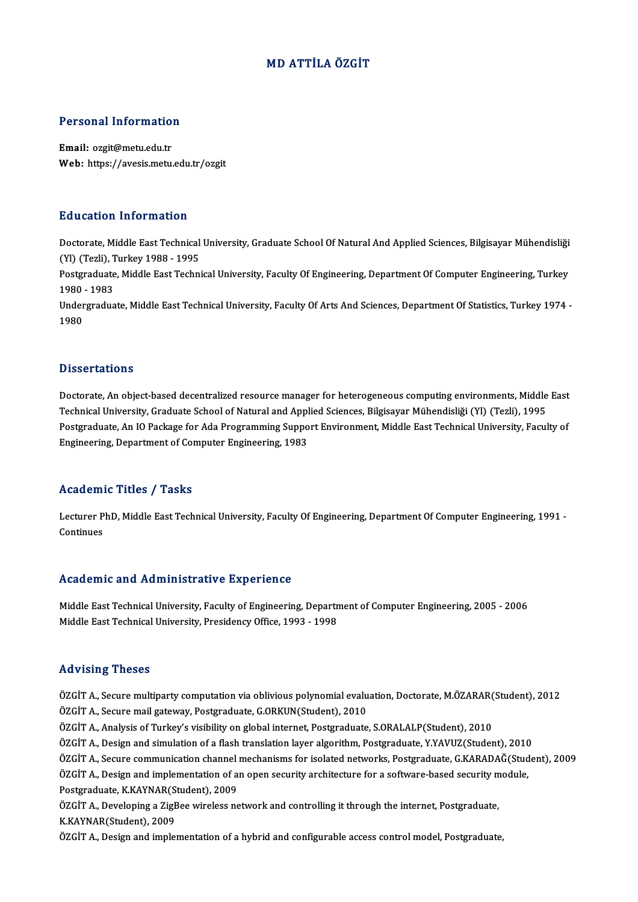## MD ATTİLA ÖZGİT

# Personal Information

Personal Informatio<br>Email: ozgit@metu.edu.tr<br>Web: https://avesis.metu Email: ozgit@metu.edu.tr<br>Web: https://avesis.metu.edu.tr/ozgit

### Education Information

Doctorate, Middle East Technical University, Graduate School Of Natural And Applied Sciences, Bilgisayar Mühendisliği (Yl) (Tezli), Turkey 1988 - 1995 Doctorate, Middle East Technical University, Graduate School Of Natural And Applied Sciences, Bilgisayar Mühendisliği<br>(Yl) (Tezli), Turkey 1988 - 1995<br>Postgraduate, Middle East Technical University, Faculty Of Engineering,

(Yl) (Tezli), T<br>Postgraduate<br>1980 - 1983<br>Undergradua Postgraduate, Middle East Technical University, Faculty Of Engineering, Department Of Computer Engineering, Turkey<br>1980 - 1983<br>Undergraduate, Middle East Technical University, Faculty Of Arts And Sciences, Department Of St

1980 - 1983<br>Undergraduate, Middle East Technical University, Faculty Of Arts And Sciences, Department Of Statistics, Turkey 1974 -<br>1980

### **Dissertations**

Dissertations<br>Doctorate, An object-based decentralized resource manager for heterogeneous computing environments, Middle East<br>Technical University Creducte School of Natural and Annlied Sciences, Bilgicayer Mühandieliği (V D'isser tarrens<br>Doctorate, An object-based decentralized resource manager for heterogeneous computing environments, Middle<br>Technical University, Graduate School of Natural and Applied Sciences, Bilgisayar Mühendisliği (Yl) Doctorate, An object-based decentralized resource manager for heterogeneous computing environments, Middle East<br>Technical University, Graduate School of Natural and Applied Sciences, Bilgisayar Mühendisliği (Yl) (Tezli), 1 Technical University, Graduate School of Natural and Appl<br>Postgraduate, An IO Package for Ada Programming Suppo<br>Engineering, Department of Computer Engineering, 1983 Engineering, Department of Computer Engineering, 1983<br>Academic Titles / Tasks

**Academic Titles / Tasks**<br>Lecturer PhD, Middle East Technical University, Faculty Of Engineering, Department Of Computer Engineering, 1991 -<br>Continues Lecturer P<br>Continues

# Academic and Administrative Experience

Academic and Administrative Experience<br>Middle East Technical University, Faculty of Engineering, Department of Computer Engineering, 2005 - 2006<br>Middle Feet Technical University, Presidency Office, 1992 - 1999 Middle East Technical University, Faculty of Engineering, Depart<br>Middle East Technical University, Faculty of Engineering, Departn<br>Middle East Technical University, Presidency Office, 1993 - 1998 Middle East Technical University, Presidency Office, 1993 - 1998<br>Advising Theses

Advising Theses<br>ÖZGİT A., Secure multiparty computation via oblivious polynomial evaluation, Doctorate, M.ÖZARAR(Student), 2012<br>ÖZGİT A. Secure mail satevcav Bestanaduate C.OBKUN(Student), 2010 raa vienig i neeses<br>ÖZGİT A., Secure multiparty computation via oblivious polynomial evalu<br>ÖZGİT A., Secure mail gateway, Postgraduate, G.ORKUN(Student), 2010<br>ÖZGİT A., Analysis of Turkov's visibility on slobal internet. B ÖZGİT A., Secure multiparty computation via oblivious polynomial evaluation, Doctorate, M.ÖZARAR(<br>ÖZGİT A., Secure mail gateway, Postgraduate, G.ORKUN(Student), 2010<br>ÖZGİT A., Analysis of Turkey's visibility on global inte

ÖZGİT A., Secure mail gateway, Postgraduate, G.ORKUN(Student), 2010<br>ÖZGİT A., Analysis of Turkey's visibility on global internet, Postgraduate, S.ORALALP(Student), 2010<br>ÖZGİT A., Design and simulation of a flash translatio

ÖZGİT A., Analysis of Turkey's visibility on global internet, Postgraduate, S.ORALALP(Student), 2010<br>ÖZGİT A., Design and simulation of a flash translation layer algorithm, Postgraduate, Y.YAVUZ(Student), 2010<br>ÖZGİT A., Se

ÖZGİT A., Design and simulation of a flash translation layer algorithm, Postgraduate, Y.YAVUZ(Student), 2010<br>ÖZGİT A., Secure communication channel mechanisms for isolated networks, Postgraduate, G.KARADAĞ(Stud<br>ÖZGİT A., D ÖZGİT A., Secure communication channel<br>ÖZGİT A., Design and implementation of a<br>Postgraduate, K.KAYNAR(Student), 2009<br>ÖZCİT A., Develening a ZirPee vünelese ne ÖZGİT A., Design and implementation of an open security architecture for a software-based security module,<br>Postgraduate, K.KAYNAR(Student), 2009<br>ÖZGİT A., Developing a ZigBee wireless network and controlling it through the Postgraduate, K.KAYNAR(Student), 2009

ÖZGİT A., Design and implementation of a hybrid and configurable access control model, Postgraduate,